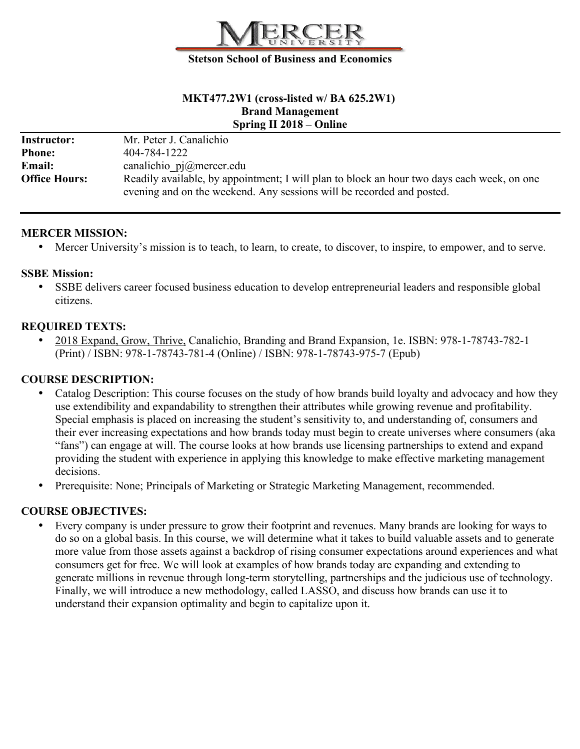

#### **Stetson School of Business and Economics**

### **MKT477.2W1 (cross-listed w/ BA 625.2W1) Brand Management Spring II 2018 – Online**

| <b>Instructor:</b>   | Mr. Peter J. Canalichio                                                                    |
|----------------------|--------------------------------------------------------------------------------------------|
| <b>Phone:</b>        | 404-784-1222                                                                               |
| <b>Email:</b>        | canalichio $pi@$ mercer.edu                                                                |
| <b>Office Hours:</b> | Readily available, by appointment; I will plan to block an hour two days each week, on one |
|                      | evening and on the weekend. Any sessions will be recorded and posted.                      |

#### **MERCER MISSION:**

• Mercer University's mission is to teach, to learn, to create, to discover, to inspire, to empower, and to serve.

## **SSBE Mission:**

• SSBE delivers career focused business education to develop entrepreneurial leaders and responsible global citizens.

## **REQUIRED TEXTS:**

• 2018 Expand, Grow, Thrive, Canalichio, Branding and Brand Expansion, 1e. ISBN: 978-1-78743-782-1 (Print) / ISBN: 978-1-78743-781-4 (Online) / ISBN: 978-1-78743-975-7 (Epub)

# **COURSE DESCRIPTION:**

- Catalog Description: This course focuses on the study of how brands build loyalty and advocacy and how they use extendibility and expandability to strengthen their attributes while growing revenue and profitability. Special emphasis is placed on increasing the student's sensitivity to, and understanding of, consumers and their ever increasing expectations and how brands today must begin to create universes where consumers (aka "fans") can engage at will. The course looks at how brands use licensing partnerships to extend and expand providing the student with experience in applying this knowledge to make effective marketing management decisions.
- Prerequisite: None; Principals of Marketing or Strategic Marketing Management, recommended.

# **COURSE OBJECTIVES:**

• Every company is under pressure to grow their footprint and revenues. Many brands are looking for ways to do so on a global basis. In this course, we will determine what it takes to build valuable assets and to generate more value from those assets against a backdrop of rising consumer expectations around experiences and what consumers get for free. We will look at examples of how brands today are expanding and extending to generate millions in revenue through long-term storytelling, partnerships and the judicious use of technology. Finally, we will introduce a new methodology, called LASSO, and discuss how brands can use it to understand their expansion optimality and begin to capitalize upon it.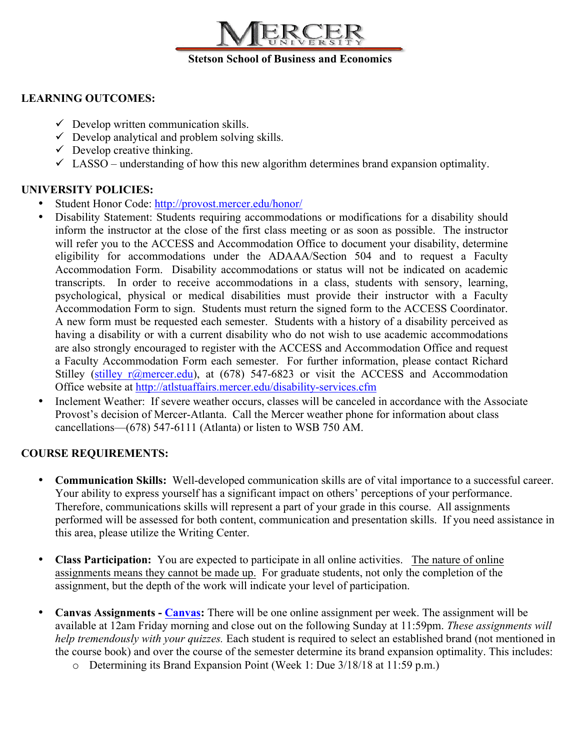

# **LEARNING OUTCOMES:**

- $\checkmark$  Develop written communication skills.
- $\checkmark$  Develop analytical and problem solving skills.
- $\checkmark$  Develop creative thinking.
- $\checkmark$  LASSO understanding of how this new algorithm determines brand expansion optimality.

# **UNIVERSITY POLICIES:**

- Student Honor Code: http://provost.mercer.edu/honor/
- Disability Statement: Students requiring accommodations or modifications for a disability should inform the instructor at the close of the first class meeting or as soon as possible. The instructor will refer you to the ACCESS and Accommodation Office to document your disability, determine eligibility for accommodations under the ADAAA/Section 504 and to request a Faculty Accommodation Form. Disability accommodations or status will not be indicated on academic transcripts. In order to receive accommodations in a class, students with sensory, learning, psychological, physical or medical disabilities must provide their instructor with a Faculty Accommodation Form to sign. Students must return the signed form to the ACCESS Coordinator. A new form must be requested each semester. Students with a history of a disability perceived as having a disability or with a current disability who do not wish to use academic accommodations are also strongly encouraged to register with the ACCESS and Accommodation Office and request a Faculty Accommodation Form each semester. For further information, please contact Richard Stilley (stilley  $r(\theta)$  mercer.edu), at (678) 547-6823 or visit the ACCESS and Accommodation Office website at http://atlstuaffairs.mercer.edu/disability-services.cfm
- Inclement Weather: If severe weather occurs, classes will be canceled in accordance with the Associate Provost's decision of Mercer-Atlanta. Call the Mercer weather phone for information about class cancellations—(678) 547-6111 (Atlanta) or listen to WSB 750 AM.

# **COURSE REQUIREMENTS:**

- **Communication Skills:** Well-developed communication skills are of vital importance to a successful career. Your ability to express yourself has a significant impact on others' perceptions of your performance. Therefore, communications skills will represent a part of your grade in this course. All assignments performed will be assessed for both content, communication and presentation skills. If you need assistance in this area, please utilize the Writing Center.
- **Class Participation:** You are expected to participate in all online activities. The nature of online assignments means they cannot be made up. For graduate students, not only the completion of the assignment, but the depth of the work will indicate your level of participation.
- **Canvas Assignments - Canvas:** There will be one online assignment per week. The assignment will be available at 12am Friday morning and close out on the following Sunday at 11:59pm. *These assignments will help tremendously with your quizzes.* Each student is required to select an established brand (not mentioned in the course book) and over the course of the semester determine its brand expansion optimality. This includes:
	- o Determining its Brand Expansion Point (Week 1: Due 3/18/18 at 11:59 p.m.)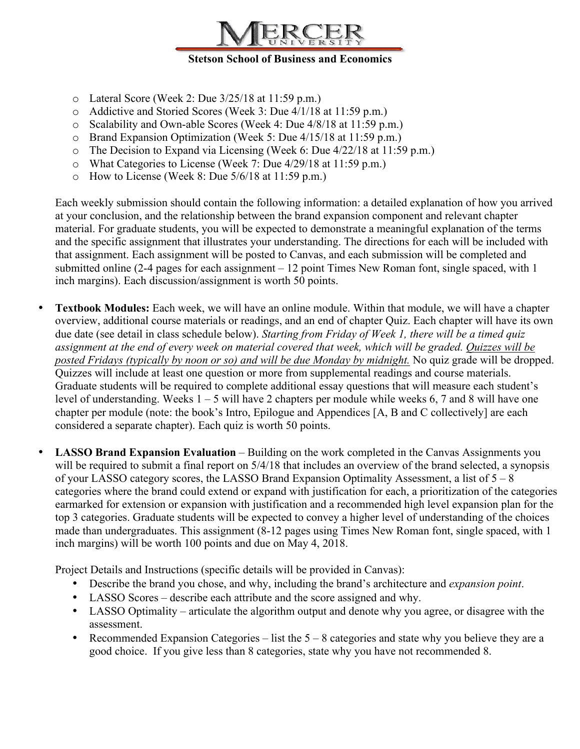

- $\circ$  Lateral Score (Week 2: Due 3/25/18 at 11:59 p.m.)
- o Addictive and Storied Scores (Week 3: Due 4/1/18 at 11:59 p.m.)
- o Scalability and Own-able Scores (Week 4: Due 4/8/18 at 11:59 p.m.)
- o Brand Expansion Optimization (Week 5: Due 4/15/18 at 11:59 p.m.)
- o The Decision to Expand via Licensing (Week 6: Due 4/22/18 at 11:59 p.m.)
- o What Categories to License (Week 7: Due 4/29/18 at 11:59 p.m.)
- o How to License (Week 8: Due 5/6/18 at 11:59 p.m.)

Each weekly submission should contain the following information: a detailed explanation of how you arrived at your conclusion, and the relationship between the brand expansion component and relevant chapter material. For graduate students, you will be expected to demonstrate a meaningful explanation of the terms and the specific assignment that illustrates your understanding. The directions for each will be included with that assignment. Each assignment will be posted to Canvas, and each submission will be completed and submitted online (2-4 pages for each assignment – 12 point Times New Roman font, single spaced, with 1 inch margins). Each discussion/assignment is worth 50 points.

- **Textbook Modules:** Each week, we will have an online module. Within that module, we will have a chapter overview, additional course materials or readings, and an end of chapter Quiz. Each chapter will have its own due date (see detail in class schedule below). *Starting from Friday of Week 1, there will be a timed quiz assignment at the end of every week on material covered that week, which will be graded. Quizzes will be posted Fridays (typically by noon or so) and will be due Monday by midnight.* No quiz grade will be dropped. Quizzes will include at least one question or more from supplemental readings and course materials. Graduate students will be required to complete additional essay questions that will measure each student's level of understanding. Weeks 1 – 5 will have 2 chapters per module while weeks 6, 7 and 8 will have one chapter per module (note: the book's Intro, Epilogue and Appendices [A, B and C collectively] are each considered a separate chapter). Each quiz is worth 50 points.
- **LASSO Brand Expansion Evaluation Building on the work completed in the Canvas Assignments you** will be required to submit a final report on  $5/4/18$  that includes an overview of the brand selected, a synopsis of your LASSO category scores, the LASSO Brand Expansion Optimality Assessment, a list of 5 – 8 categories where the brand could extend or expand with justification for each, a prioritization of the categories earmarked for extension or expansion with justification and a recommended high level expansion plan for the top 3 categories. Graduate students will be expected to convey a higher level of understanding of the choices made than undergraduates. This assignment (8-12 pages using Times New Roman font, single spaced, with 1 inch margins) will be worth 100 points and due on May 4, 2018.

Project Details and Instructions (specific details will be provided in Canvas):

- Describe the brand you chose, and why, including the brand's architecture and *expansion point*.
- LASSO Scores describe each attribute and the score assigned and why.
- LASSO Optimality articulate the algorithm output and denote why you agree, or disagree with the assessment.
- Recommended Expansion Categories list the  $5 8$  categories and state why you believe they are a good choice. If you give less than 8 categories, state why you have not recommended 8.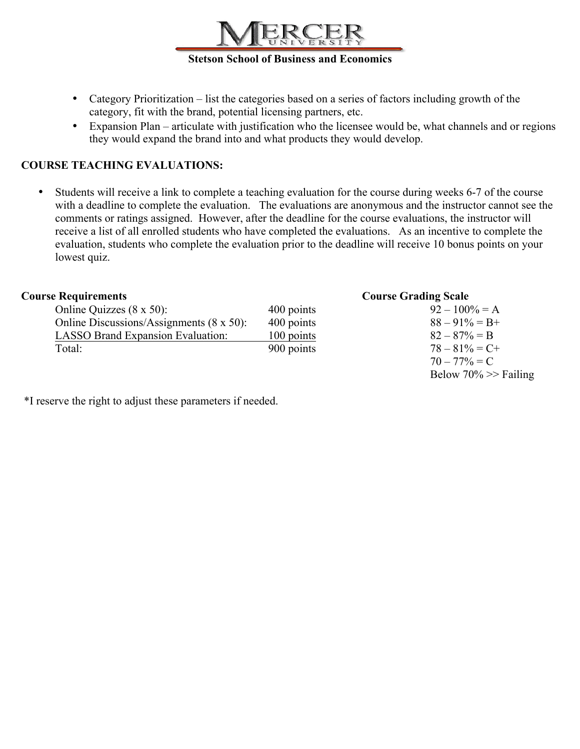

- Category Prioritization list the categories based on a series of factors including growth of the category, fit with the brand, potential licensing partners, etc.
- Expansion Plan articulate with justification who the licensee would be, what channels and or regions they would expand the brand into and what products they would develop.

# **COURSE TEACHING EVALUATIONS:**

• Students will receive a link to complete a teaching evaluation for the course during weeks 6-7 of the course with a deadline to complete the evaluation. The evaluations are anonymous and the instructor cannot see the comments or ratings assigned. However, after the deadline for the course evaluations, the instructor will receive a list of all enrolled students who have completed the evaluations. As an incentive to complete the evaluation, students who complete the evaluation prior to the deadline will receive 10 bonus points on your lowest quiz.

## **Course Requirements Course Grading Scale**

| Online Quizzes (8 x 50):                         | 400 points | $92 - 100\% = A$  |
|--------------------------------------------------|------------|-------------------|
| Online Discussions/Assignments $(8 \times 50)$ : | 400 points | $88 - 91\% = B +$ |
| <b>LASSO Brand Expansion Evaluation:</b>         | 100 points | $82 - 87\% = B$   |
| Total:                                           | 900 points | $78 - 81\% = C +$ |

| $92 - 100\% = A$        |
|-------------------------|
| $88 - 91\% = B +$       |
| $82 - 87\% = B$         |
| $78 - 81\% = C +$       |
| $70 - 77\% = C$         |
| Below $70\%$ >> Failing |

\*I reserve the right to adjust these parameters if needed.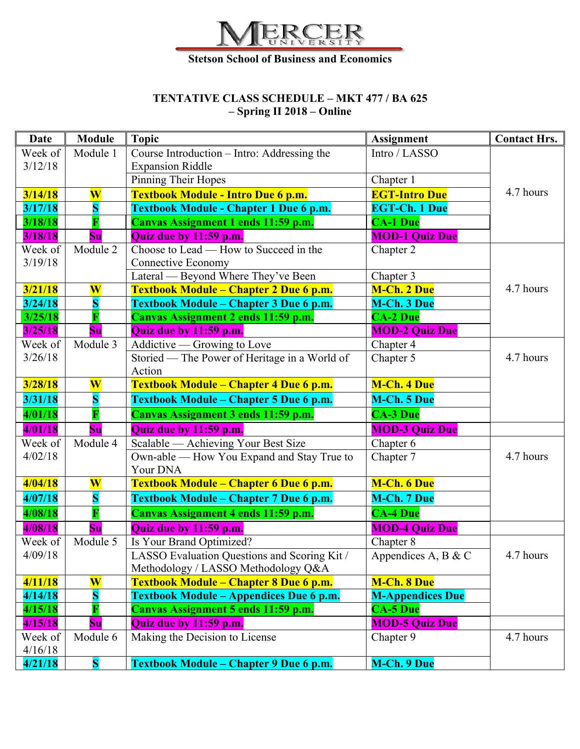

# **TENTATIVE CLASS SCHEDULE – MKT 477 / BA 625 – Spring II 2018 – Online**

| <b>Date</b> | <b>Module</b>           | <b>Topic</b>                                  | <b>Assignment</b>       | <b>Contact Hrs.</b> |
|-------------|-------------------------|-----------------------------------------------|-------------------------|---------------------|
| Week of     | Module 1                | Course Introduction - Intro: Addressing the   | Intro / LASSO           |                     |
| 3/12/18     |                         | <b>Expansion Riddle</b>                       |                         |                     |
|             |                         | Pinning Their Hopes                           | Chapter 1               |                     |
| 3/14/18     | $\overline{\textbf{W}}$ | Textbook Module - Intro Due 6 p.m.            | <b>EGT-Intro Due</b>    | 4.7 hours           |
| 3/17/18     | $\overline{\mathbf{S}}$ | <b>Textbook Module - Chapter 1 Due 6 p.m.</b> | <b>EGT-Ch. 1 Due</b>    |                     |
| 3/18/18     |                         | Canvas Assignment 1 ends 11:59 p.m.           | <b>CA-1 Due</b>         |                     |
| 3/18/18     | S <sub>u</sub>          | Quiz due by 11:59 p.m.                        | <b>MOD-1 Quiz Due</b>   |                     |
| Week of     | Module 2                | Choose to Lead — How to Succeed in the        | Chapter 2               |                     |
| 3/19/18     |                         | Connective Economy                            |                         |                     |
|             |                         | Lateral — Beyond Where They've Been           | Chapter 3               |                     |
| 3/21/18     | $\overline{\textbf{W}}$ | Textbook Module – Chapter 2 Due 6 p.m.        | <b>M-Ch. 2 Due</b>      | 4.7 hours           |
| 3/24/18     | S                       | Textbook Module – Chapter 3 Due 6 p.m.        | <b>M-Ch. 3 Due</b>      |                     |
| 3/25/18     | П                       | Canvas Assignment 2 ends 11:59 p.m.           | <b>CA-2 Due</b>         |                     |
| 3/25/18     | Su                      | Quiz due by 11:59 p.m.                        | <b>MOD-2 Quiz Due</b>   |                     |
| Week of     | Module 3                | Addictive — Growing to Love                   | Chapter 4               |                     |
| 3/26/18     |                         | Storied — The Power of Heritage in a World of | Chapter 5               | 4.7 hours           |
|             |                         | Action                                        |                         |                     |
| 3/28/18     | $\overline{\textbf{W}}$ | Textbook Module – Chapter 4 Due 6 p.m.        | <b>M-Ch. 4 Due</b>      |                     |
| 3/31/18     | S                       | Textbook Module – Chapter 5 Due 6 p.m.        | <b>M-Ch. 5 Due</b>      |                     |
| 4/01/18     |                         | Canvas Assignment 3 ends 11:59 p.m.           | <b>CA-3 Due</b>         |                     |
| 4/01/18     | S <sub>u</sub>          | Quiz due by 11:59 p.m.                        | <b>MOD-3 Quiz Due</b>   |                     |
| Week of     | Module 4                | Scalable - Achieving Your Best Size           | Chapter 6               |                     |
| 4/02/18     |                         | Own-able — How You Expand and Stay True to    | Chapter 7               | 4.7 hours           |
|             |                         | Your DNA                                      |                         |                     |
| 4/04/18     | $\overline{\textbf{W}}$ | Textbook Module - Chapter 6 Due 6 p.m.        | M-Ch. 6 Due             |                     |
| 4/07/18     | $\overline{\mathbf{S}}$ | Textbook Module – Chapter 7 Due 6 p.m.        | M-Ch. 7 Due             |                     |
| 4/08/18     | $\overline{\mathbf{F}}$ | Canvas Assignment 4 ends 11:59 p.m.           | <b>CA-4 Due</b>         |                     |
| 4/08/18     | Su                      | Quiz due by 11:59 p.m.                        | <b>MOD-4 Quiz Due</b>   |                     |
| Week of     | Module 5                | Is Your Brand Optimized?                      | Chapter 8               |                     |
| 4/09/18     |                         | LASSO Evaluation Questions and Scoring Kit /  | Appendices A, B & C     | 4.7 hours           |
|             |                         | Methodology / LASSO Methodology Q&A           |                         |                     |
| 4/11/18     | $\overline{\textbf{W}}$ | Textbook Module – Chapter 8 Due 6 p.m.        | <b>M-Ch. 8 Due</b>      |                     |
| 4/14/18     | $\overline{\mathbf{S}}$ | Textbook Module - Appendices Due 6 p.m.       | <b>M-Appendices Due</b> |                     |
| 4/15/18     |                         | Canvas Assignment 5 ends 11:59 p.m.           | <b>CA-5 Due</b>         |                     |
| 4/15/18     | <b>Su</b>               | Quiz due by 11:59 p.m.                        | <b>MOD-5 Quiz Due</b>   |                     |
| Week of     | Module 6                | Making the Decision to License                | Chapter 9               | 4.7 hours           |
| 4/16/18     |                         |                                               |                         |                     |
| 4/21/18     | S                       | Textbook Module – Chapter 9 Due 6 p.m.        | M-Ch. 9 Due             |                     |